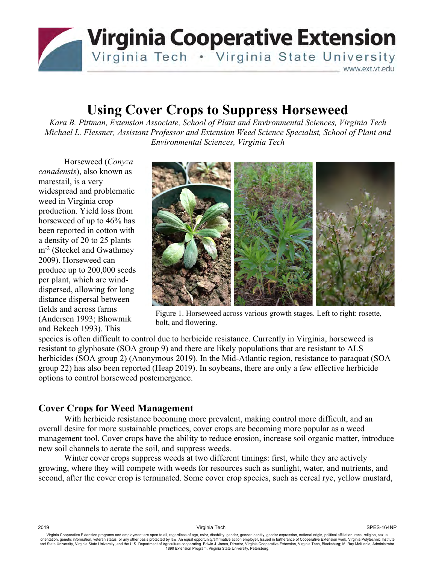

# **Using Cover Crops to Suppress Horseweed**

*Kara B. Pittman, Extension Associate, School of Plant and Environmental Sciences, Virginia Tech Michael L. Flessner, Assistant Professor and Extension Weed Science Specialist, School of Plant and Environmental Sciences, Virginia Tech* 

Horseweed (*Conyza canadensis*), also known as marestail, is a very widespread and problematic weed in Virginia crop production. Yield loss from horseweed of up to 46% has been reported in cotton with a density of 20 to 25 plants m<sup>-2</sup> (Steckel and Gwathmey) 2009). Horseweed can produce up to 200,000 seeds per plant, which are winddispersed, allowing for long distance dispersal between fields and across farms (Andersen 1993; Bhowmik and Bekech 1993). This



Figure 1. Horseweed across various growth stages. Left to right: rosette, bolt, and flowering.

species is often difficult to control due to herbicide resistance. Currently in Virginia, horseweed is resistant to glyphosate (SOA group 9) and there are likely populations that are resistant to ALS herbicides (SOA group 2) (Anonymous 2019). In the Mid-Atlantic region, resistance to paraquat (SOA group 22) has also been reported (Heap 2019). In soybeans, there are only a few effective herbicide options to control horseweed postemergence.

### **Cover Crops for Weed Management**

With herbicide resistance becoming more prevalent, making control more difficult, and an overall desire for more sustainable practices, cover crops are becoming more popular as a weed management tool. Cover crops have the ability to reduce erosion, increase soil organic matter, introduce new soil channels to aerate the soil, and suppress weeds.

Winter cover crops suppress weeds at two different timings: first, while they are actively growing, where they will compete with weeds for resources such as sunlight, water, and nutrients, and second, after the cover crop is terminated. Some cover crop species, such as cereal rye, yellow mustard,

Virginia Cooperative Extension programs and employment are open to all, regardless of age, color, disability, gender, gender identity, gender expression, national origin, political affiliation, race, religion, sexual orien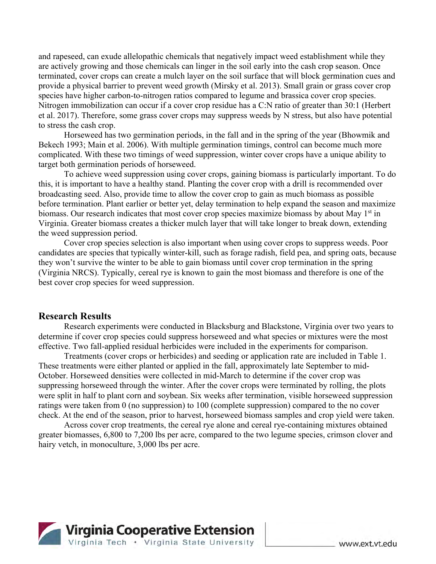and rapeseed, can exude allelopathic chemicals that negatively impact weed establishment while they are actively growing and those chemicals can linger in the soil early into the cash crop season. Once terminated, cover crops can create a mulch layer on the soil surface that will block germination cues and provide a physical barrier to prevent weed growth (Mirsky et al. 2013). Small grain or grass cover crop species have higher carbon-to-nitrogen ratios compared to legume and brassica cover crop species. Nitrogen immobilization can occur if a cover crop residue has a C:N ratio of greater than 30:1 (Herbert et al. 2017). Therefore, some grass cover crops may suppress weeds by N stress, but also have potential to stress the cash crop.

Horseweed has two germination periods, in the fall and in the spring of the year (Bhowmik and Bekech 1993; Main et al. 2006). With multiple germination timings, control can become much more complicated. With these two timings of weed suppression, winter cover crops have a unique ability to target both germination periods of horseweed.

To achieve weed suppression using cover crops, gaining biomass is particularly important. To do this, it is important to have a healthy stand. Planting the cover crop with a drill is recommended over broadcasting seed. Also, provide time to allow the cover crop to gain as much biomass as possible before termination. Plant earlier or better yet, delay termination to help expand the season and maximize biomass. Our research indicates that most cover crop species maximize biomass by about May  $1<sup>st</sup>$  in Virginia. Greater biomass creates a thicker mulch layer that will take longer to break down, extending the weed suppression period.

Cover crop species selection is also important when using cover crops to suppress weeds. Poor candidates are species that typically winter-kill, such as forage radish, field pea, and spring oats, because they won't survive the winter to be able to gain biomass until cover crop termination in the spring (Virginia NRCS). Typically, cereal rye is known to gain the most biomass and therefore is one of the best cover crop species for weed suppression.

#### **Research Results**

Research experiments were conducted in Blacksburg and Blackstone, Virginia over two years to determine if cover crop species could suppress horseweed and what species or mixtures were the most effective. Two fall-applied residual herbicides were included in the experiments for comparison.

Treatments (cover crops or herbicides) and seeding or application rate are included in Table 1. These treatments were either planted or applied in the fall, approximately late September to mid-October. Horseweed densities were collected in mid-March to determine if the cover crop was suppressing horseweed through the winter. After the cover crops were terminated by rolling, the plots were split in half to plant corn and soybean. Six weeks after termination, visible horseweed suppression ratings were taken from 0 (no suppression) to 100 (complete suppression) compared to the no cover check. At the end of the season, prior to harvest, horseweed biomass samples and crop yield were taken.

Across cover crop treatments, the cereal rye alone and cereal rye-containing mixtures obtained greater biomasses, 6,800 to 7,200 lbs per acre, compared to the two legume species, crimson clover and hairy vetch, in monoculture, 3,000 lbs per acre.

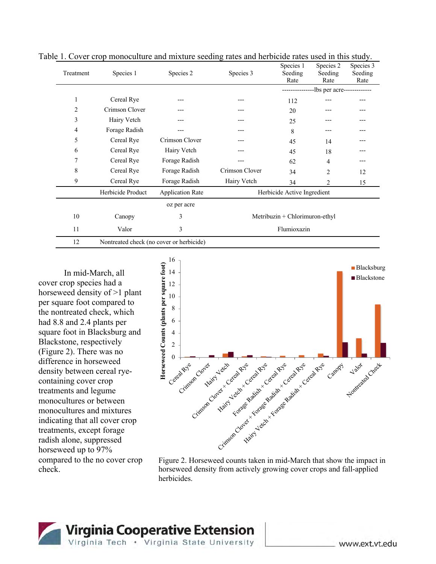| Treatment | Species 1                                | Species 2               | Species 3                      | Species 1<br>Seeding<br>Rate | Species 2<br>Seeding<br>Rate | Species 3<br>Seeding<br>Rate |
|-----------|------------------------------------------|-------------------------|--------------------------------|------------------------------|------------------------------|------------------------------|
|           |                                          |                         |                                |                              |                              |                              |
|           |                                          |                         |                                | -lbs per acre-------------   |                              |                              |
| 1         | Cereal Rye                               |                         |                                | 112                          |                              |                              |
| 2         | Crimson Clover                           | ---                     | ---                            | 20                           |                              |                              |
| 3         | Hairy Vetch                              |                         |                                | 25                           |                              |                              |
| 4         | Forage Radish                            |                         | $---$                          | 8                            |                              |                              |
| 5         | Cereal Rye                               | Crimson Clover          |                                | 45                           | 14                           |                              |
| 6         | Cereal Rye                               | Hairy Vetch             |                                | 45                           | 18                           |                              |
| 7         | Cereal Rye                               | Forage Radish           | ---                            | 62                           | $\overline{4}$               | ---                          |
| 8         | Cereal Rye                               | Forage Radish           | Crimson Clover                 | 34                           | 2                            | 12                           |
| 9         | Cereal Rye                               | Forage Radish           | Hairy Vetch                    | 34                           | 2                            | 15                           |
|           | Herbicide Product                        | <b>Application Rate</b> | Herbicide Active Ingredient    |                              |                              |                              |
|           |                                          | oz per acre             |                                |                              |                              |                              |
| 10        | Canopy                                   | 3                       | Metribuzin + Chlorimuron-ethyl |                              |                              |                              |
| 11        | Valor                                    | 3                       | Flumioxazin                    |                              |                              |                              |
| 12        | Nontreated check (no cover or herbicide) |                         |                                |                              |                              |                              |

Table 1. Cover crop monoculture and mixture seeding rates and herbicide rates used in this study.

In mid-March, all cover crop species had a horseweed density of >1 plant per square foot compared to the nontreated check, which had 8.8 and 2.4 plants per square foot in Blacksburg and Blackstone, respectively (Figure 2). There was no difference in horseweed density between cereal ryecontaining cover crop treatments and legume monocultures or between monocultures and mixtures indicating that all cover crop treatments, except forage radish alone, suppressed horseweed up to 97% compared to the no cover crop check.



Figure 2. Horseweed counts taken in mid-March that show the impact in horseweed density from actively growing cover crops and fall-applied herbicides.

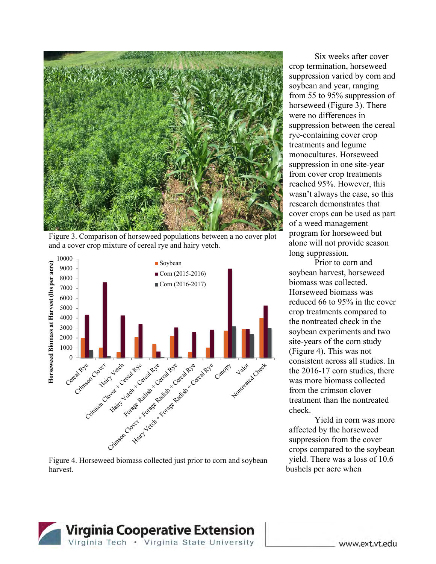

Figure 3. Comparison of horseweed populations between a no cover plot and a cover crop mixture of cereal rye and hairy vetch.



Figure 4. Horseweed biomass collected just prior to corn and soybean harvest.

Six weeks after cover crop termination, horseweed suppression varied by corn and soybean and year, ranging from 55 to 95% suppression of horseweed (Figure 3). There were no differences in suppression between the cereal rye-containing cover crop treatments and legume monocultures. Horseweed suppression in one site-year from cover crop treatments reached 95%. However, this wasn't always the case, so this research demonstrates that cover crops can be used as part of a weed management program for horseweed but alone will not provide season long suppression.

Prior to corn and soybean harvest, horseweed biomass was collected. Horseweed biomass was reduced 66 to 95% in the cover crop treatments compared to the nontreated check in the soybean experiments and two site-years of the corn study (Figure 4). This was not consistent across all studies. In the 2016-17 corn studies, there was more biomass collected from the crimson clover treatment than the nontreated check.

Yield in corn was more affected by the horseweed suppression from the cover crops compared to the soybean yield. There was a loss of 10.6 bushels per acre when

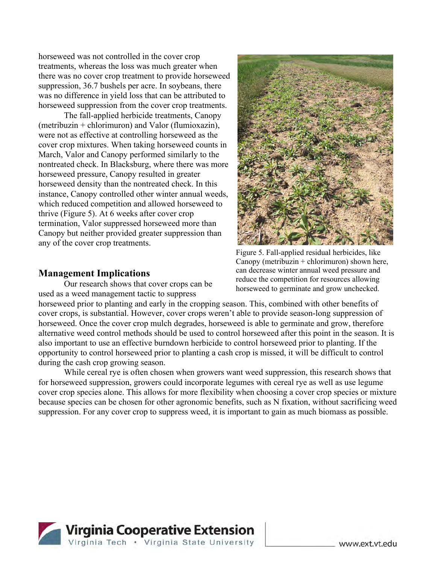horseweed was not controlled in the cover crop treatments, whereas the loss was much greater when there was no cover crop treatment to provide horseweed suppression, 36.7 bushels per acre. In soybeans, there was no difference in yield loss that can be attributed to horseweed suppression from the cover crop treatments.

The fall-applied herbicide treatments, Canopy (metribuzin + chlorimuron) and Valor (flumioxazin), were not as effective at controlling horseweed as the cover crop mixtures. When taking horseweed counts in March, Valor and Canopy performed similarly to the nontreated check. In Blacksburg, where there was more horseweed pressure, Canopy resulted in greater horseweed density than the nontreated check. In this instance, Canopy controlled other winter annual weeds, which reduced competition and allowed horseweed to thrive (Figure 5). At 6 weeks after cover crop termination, Valor suppressed horseweed more than Canopy but neither provided greater suppression than any of the cover crop treatments.

## **Management Implications**

Our research shows that cover crops can be used as a weed management tactic to suppress



Figure 5. Fall-applied residual herbicides, like Canopy (metribuzin  $+$  chlorimuron) shown here, can decrease winter annual weed pressure and reduce the competition for resources allowing horseweed to germinate and grow unchecked.

horseweed prior to planting and early in the cropping season. This, combined with other benefits of cover crops, is substantial. However, cover crops weren't able to provide season-long suppression of horseweed. Once the cover crop mulch degrades, horseweed is able to germinate and grow, therefore alternative weed control methods should be used to control horseweed after this point in the season. It is also important to use an effective burndown herbicide to control horseweed prior to planting. If the opportunity to control horseweed prior to planting a cash crop is missed, it will be difficult to control during the cash crop growing season.

While cereal rye is often chosen when growers want weed suppression, this research shows that for horseweed suppression, growers could incorporate legumes with cereal rye as well as use legume cover crop species alone. This allows for more flexibility when choosing a cover crop species or mixture because species can be chosen for other agronomic benefits, such as N fixation, without sacrificing weed suppression. For any cover crop to suppress weed, it is important to gain as much biomass as possible.